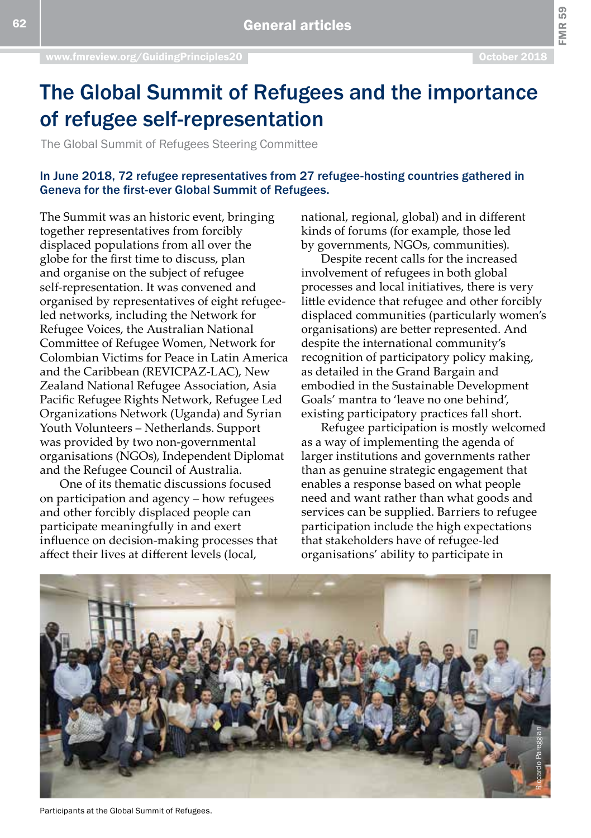FMR<sub>59</sub>

# The Global Summit of Refugees and the importance of refugee self-representation

The Global Summit of Refugees Steering Committee

## In June 2018, 72 refugee representatives from 27 refugee-hosting countries gathered in Geneva for the first-ever Global Summit of Refugees.

The Summit was an historic event, bringing together representatives from forcibly displaced populations from all over the globe for the first time to discuss, plan and organise on the subject of refugee self-representation. It was convened and organised by representatives of eight refugeeled networks, including the Network for Refugee Voices, the Australian National Committee of Refugee Women, Network for Colombian Victims for Peace in Latin America and the Caribbean (REVICPAZ-LAC), New Zealand National Refugee Association, Asia Pacific Refugee Rights Network, Refugee Led Organizations Network (Uganda) and Syrian Youth Volunteers – Netherlands. Support was provided by two non-governmental organisations (NGOs), Independent Diplomat and the Refugee Council of Australia.

One of its thematic discussions focused on participation and agency – how refugees and other forcibly displaced people can participate meaningfully in and exert influence on decision-making processes that affect their lives at different levels (local,

national, regional, global) and in different kinds of forums (for example, those led by governments, NGOs, communities).

Despite recent calls for the increased involvement of refugees in both global processes and local initiatives, there is very little evidence that refugee and other forcibly displaced communities (particularly women's organisations) are better represented. And despite the international community's recognition of participatory policy making, as detailed in the Grand Bargain and embodied in the Sustainable Development Goals' mantra to 'leave no one behind', existing participatory practices fall short.

Refugee participation is mostly welcomed as a way of implementing the agenda of larger institutions and governments rather than as genuine strategic engagement that enables a response based on what people need and want rather than what goods and services can be supplied. Barriers to refugee participation include the high expectations that stakeholders have of refugee-led organisations' ability to participate in